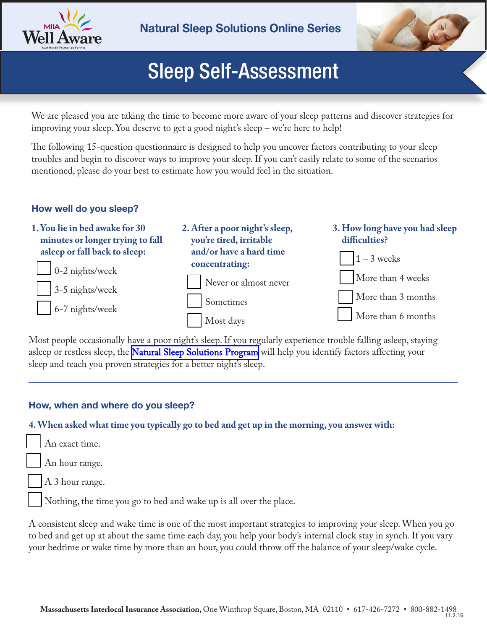



# Sleep Self-Assessment

We are pleased you are taking the time to become more aware of your sleep patterns and discover strategies for improving your sleep. You deserve to get a good night's sleep – we're here to help!

The following 15-question questionnaire is designed to help you uncover factors contributing to your sleep troubles and begin to discover ways to improve your sleep. If you can't easily relate to some of the scenarios mentioned, please do your best to estimate how you would feel in the situation.

#### **How well do you sleep?**



Most people occasionally have a poor night's sleep. If you regularly experience trouble falling asleep, staying asleep or restless sleep, the **Natural Sleep Solutions Program** will help you identify factors affecting your sleep and teach you proven strategies for a better night's sleep.

#### **How, when and where do you sleep?**

#### **4.When asked what time you typically go to bed and get up in the morning, you answer with:**

An exact time.

An hour range.

A 3 hour range.

Nothing, the time you go to bed and wake up is all over the place.

A consistent sleep and wake time is one of the most important strategies to improving your sleep. When you go to bed and get up at about the same time each day, you help your body's internal clock stay in synch. If you vary your bedtime or wake time by more than an hour, you could throw off the balance of your sleep/wake cycle.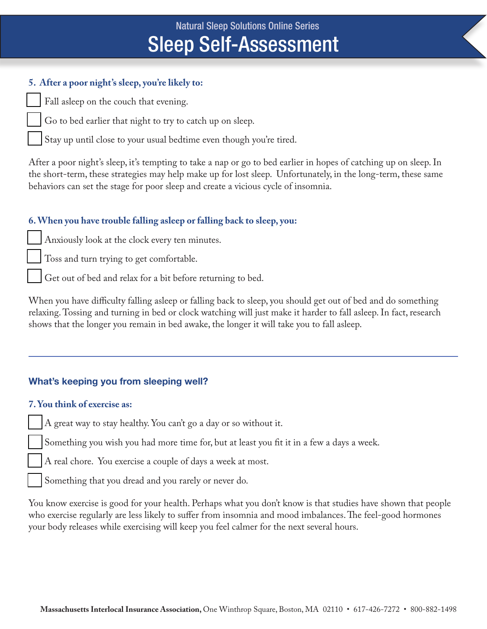## **5. After a poor night's sleep, you're likely to:**

Fall asleep on the couch that evening.

Go to bed earlier that night to try to catch up on sleep.

Stay up until close to your usual bedtime even though you're tired.

After a poor night's sleep, it's tempting to take a nap or go to bed earlier in hopes of catching up on sleep. In the short-term, these strategies may help make up for lost sleep. Unfortunately, in the long-term, these same behaviors can set the stage for poor sleep and create a vicious cycle of insomnia.

## **6. When you have trouble falling asleep or falling back to sleep, you:**

Anxiously look at the clock every ten minutes.

Toss and turn trying to get comfortable.

Get out of bed and relax for a bit before returning to bed.

When you have difficulty falling asleep or falling back to sleep, you should get out of bed and do something relaxing. Tossing and turning in bed or clock watching will just make it harder to fall asleep. In fact, research shows that the longer you remain in bed awake, the longer it will take you to fall asleep.

# **What's keeping you from sleeping well?**

#### **7. You think of exercise as:**

A great way to stay healthy. You can't go a day or so without it.

Something you wish you had more time for, but at least you fit it in a few a days a week.

A real chore. You exercise a couple of days a week at most.

Something that you dread and you rarely or never do.

You know exercise is good for your health. Perhaps what you don't know is that studies have shown that people who exercise regularly are less likely to suffer from insomnia and mood imbalances. The feel-good hormones your body releases while exercising will keep you feel calmer for the next several hours.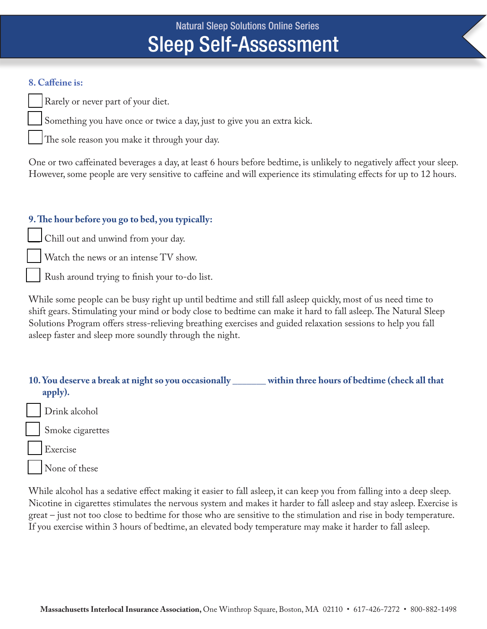#### **8. Caffeine is:**

Rarely or never part of your diet.

Something you have once or twice a day, just to give you an extra kick.

The sole reason you make it through your day.

One or two caffeinated beverages a day, at least 6 hours before bedtime, is unlikely to negatively affect your sleep. However, some people are very sensitive to caffeine and will experience its stimulating effects for up to 12 hours.

## **9. The hour before you go to bed, you typically:**

Chill out and unwind from your day.

Watch the news or an intense TV show.

Rush around trying to finish your to-do list.

While some people can be busy right up until bedtime and still fall asleep quickly, most of us need time to shift gears. Stimulating your mind or body close to bedtime can make it hard to fall asleep. The Natural Sleep Solutions Program offers stress-relieving breathing exercises and guided relaxation sessions to help you fall asleep faster and sleep more soundly through the night.

- **10. You deserve a break at night so you occasionally \_\_\_\_\_\_\_ within three hours of bedtime (check all that apply).**
- Drink alcohol

Smoke cigarettes

Exercise

None of these

While alcohol has a sedative effect making it easier to fall asleep, it can keep you from falling into a deep sleep. Nicotine in cigarettes stimulates the nervous system and makes it harder to fall asleep and stay asleep. Exercise is great – just not too close to bedtime for those who are sensitive to the stimulation and rise in body temperature. If you exercise within 3 hours of bedtime, an elevated body temperature may make it harder to fall asleep.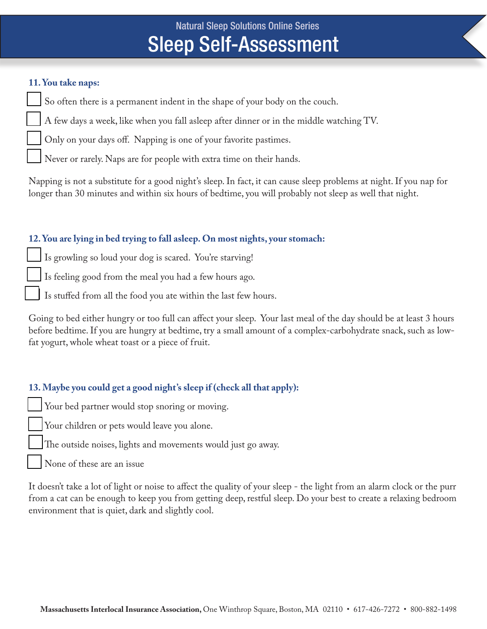#### **11. You take naps:**

So often there is a permanent indent in the shape of your body on the couch.

A few days a week, like when you fall asleep after dinner or in the middle watching TV.

Only on your days off. Napping is one of your favorite pastimes.

Never or rarely. Naps are for people with extra time on their hands.

Napping is not a substitute for a good night's sleep. In fact, it can cause sleep problems at night. If you nap for longer than 30 minutes and within six hours of bedtime, you will probably not sleep as well that night.

### **12. You are lying in bed trying to fall asleep. On most nights, your stomach:**

Is growling so loud your dog is scared. You're starving!

Is feeling good from the meal you had a few hours ago.

Is stuffed from all the food you ate within the last few hours.

Going to bed either hungry or too full can affect your sleep. Your last meal of the day should be at least 3 hours before bedtime. If you are hungry at bedtime, try a small amount of a complex-carbohydrate snack, such as lowfat yogurt, whole wheat toast or a piece of fruit.

## **13. Maybe you could get a good night's sleep if (check all that apply):**

Your bed partner would stop snoring or moving.

Your children or pets would leave you alone.

The outside noises, lights and movements would just go away.

None of these are an issue

It doesn't take a lot of light or noise to affect the quality of your sleep - the light from an alarm clock or the purr from a cat can be enough to keep you from getting deep, restful sleep. Do your best to create a relaxing bedroom environment that is quiet, dark and slightly cool.